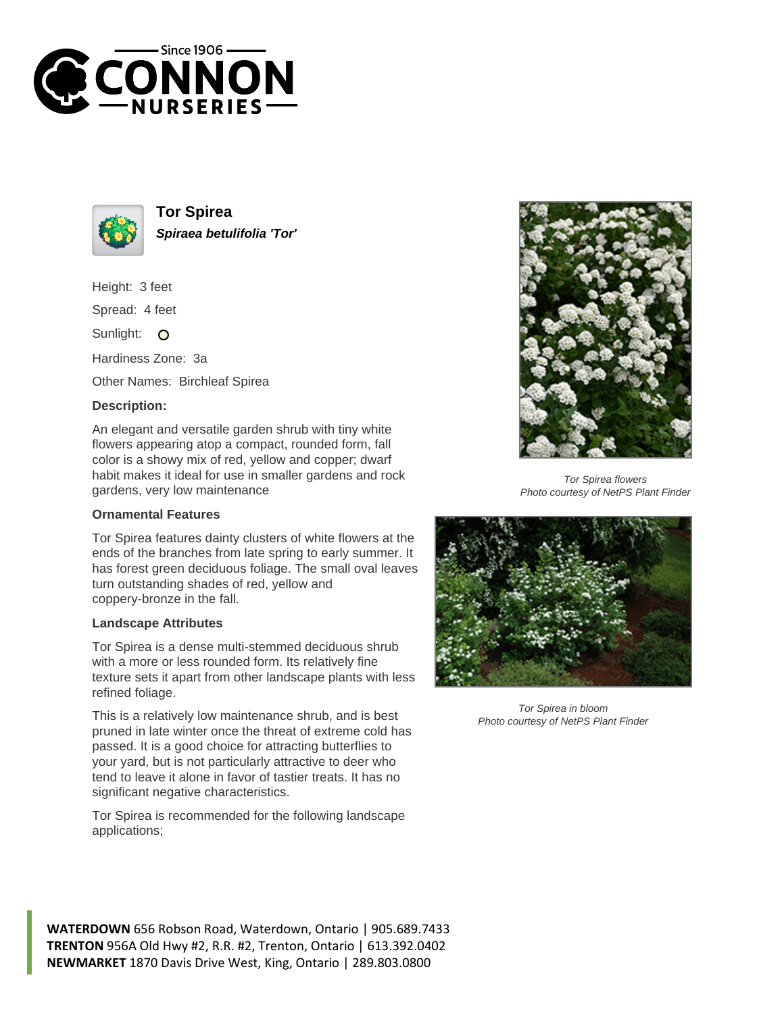



**Tor Spirea Spiraea betulifolia 'Tor'**

Height: 3 feet

Spread: 4 feet

Sunlight: O

Hardiness Zone: 3a

Other Names: Birchleaf Spirea

## **Description:**

An elegant and versatile garden shrub with tiny white flowers appearing atop a compact, rounded form, fall color is a showy mix of red, yellow and copper; dwarf habit makes it ideal for use in smaller gardens and rock gardens, very low maintenance

## **Ornamental Features**

Tor Spirea features dainty clusters of white flowers at the ends of the branches from late spring to early summer. It has forest green deciduous foliage. The small oval leaves turn outstanding shades of red, yellow and coppery-bronze in the fall.

## **Landscape Attributes**

Tor Spirea is a dense multi-stemmed deciduous shrub with a more or less rounded form. Its relatively fine texture sets it apart from other landscape plants with less refined foliage.

This is a relatively low maintenance shrub, and is best pruned in late winter once the threat of extreme cold has passed. It is a good choice for attracting butterflies to your yard, but is not particularly attractive to deer who tend to leave it alone in favor of tastier treats. It has no significant negative characteristics.

Tor Spirea is recommended for the following landscape applications;



Tor Spirea flowers Photo courtesy of NetPS Plant Finder



Tor Spirea in bloom Photo courtesy of NetPS Plant Finder

**WATERDOWN** 656 Robson Road, Waterdown, Ontario | 905.689.7433 **TRENTON** 956A Old Hwy #2, R.R. #2, Trenton, Ontario | 613.392.0402 **NEWMARKET** 1870 Davis Drive West, King, Ontario | 289.803.0800